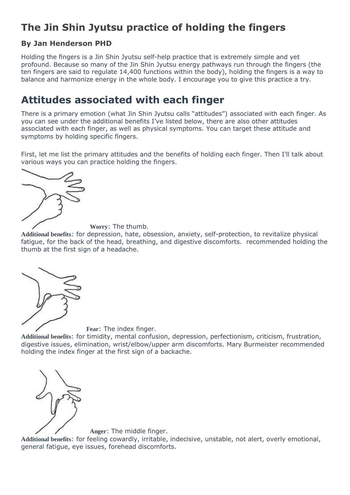## **The Jin Shin Jyutsu practice of holding the fingers**

#### **By Jan Henderson PHD**

Holding the fingers is a Jin Shin Jyutsu self-help practice that is extremely simple and yet profound. Because so many of the Jin Shin Jyutsu energy pathways run through the fingers (the ten fingers are said to regulate 14,400 functions within the body), holding the fingers is a way to balance and harmonize energy in the whole body. I encourage you to give this practice a try.

## **Attitudes associated with each finger**

There is a primary emotion (what Jin Shin Jyutsu calls "attitudes") associated with each finger. As you can see under the additional benefits I've listed below, there are also other attitudes associated with each finger, as well as physical symptoms. You can target these attitude and symptoms by holding specific fingers.

First, let me list the primary attitudes and the benefits of holding each finger. Then I'll talk about [various ways you can](http://balanceflow.com/wp-content/uploads/2014/08/jin-shin-jyutsu-holding-l-thumb.jpg) practice holding the fingers.



**Worry**: The thumb.

**Additional benefits**: for depression, hate, obsession, anxiety, self-protection, to revitalize physical fatigue, for the back of the head, breathing, and digestive discomforts. recommended holding the thumb at the first sign of a headache.



**[F](http://balanceflow.com/wp-content/uploads/2014/08/jin-shin-jyutsu-holding-l-index-finger.jpg)ear**: The index finger.

**Additional benefits**: for timidity, mental confusion, depression, perfectionism, criticism, frustration, digestive issues, elimination, wrist/elbow/upper arm discomforts. Mary Burmeister recommended holding the index finger at the first sign of a backache.



**[A](http://balanceflow.com/wp-content/uploads/2014/08/jin-shin-jyutsu-holding-l-middle-finger.jpg)nger**: The middle finger.

**Additional benefits**: for feeling cowardly, irritable, indecisive, unstable, not alert, overly emotional, general fatigue, eye issues, forehead discomforts.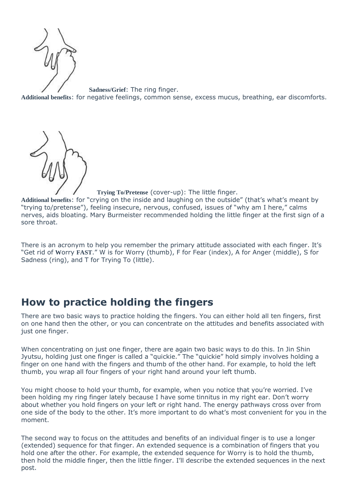

**Sadness/Grief**: The ring finger. **Additional benefits**: for negative feelings, common sense, excess mucus, breathing, ear discomforts.



**Trying To/Pretense** (cover-up): The little finger.

**Additional benefits**: for "crying on the inside and laughing on the outside" (that's what's meant by "trying to/pretense"), feeling insecure, nervous, confused, issues of "why am I here," calms nerves, aids bloating. Mary Burmeister recommended holding the little finger at the first sign of a sore throat.

There is an acronym to help you remember the primary attitude associated with each finger. It's "Get rid of **W**orry **FAST**." W is for Worry (thumb), F for Fear (index), A for Anger (middle), S for Sadness (ring), and T for Trying To (little).

### **How to practice holding the fingers**

There are two basic ways to practice holding the fingers. You can either hold all ten fingers, first on one hand then the other, or you can concentrate on the attitudes and benefits associated with just one finger.

When concentrating on just one finger, there are again two basic ways to do this. In Jin Shin Jyutsu, holding just one finger is called a "quickie." The "quickie" hold simply involves holding a finger on one hand with the fingers and thumb of the other hand. For example, to hold the left thumb, you wrap all four fingers of your right hand around your left thumb.

You might choose to hold your thumb, for example, when you notice that you're worried. I've been holding my ring finger lately because I have some tinnitus in my right ear. Don't worry about whether you hold fingers on your left or right hand. The energy pathways cross over from one side of the body to the other. It's more important to do what's most convenient for you in the moment.

The second way to focus on the attitudes and benefits of an individual finger is to use a longer (extended) sequence for that finger. An extended sequence is a combination of fingers that you hold one after the other. For example, the extended sequence for Worry is to hold the thumb, then hold the middle finger, then the little finger. I'll describe the extended sequences in the next post.